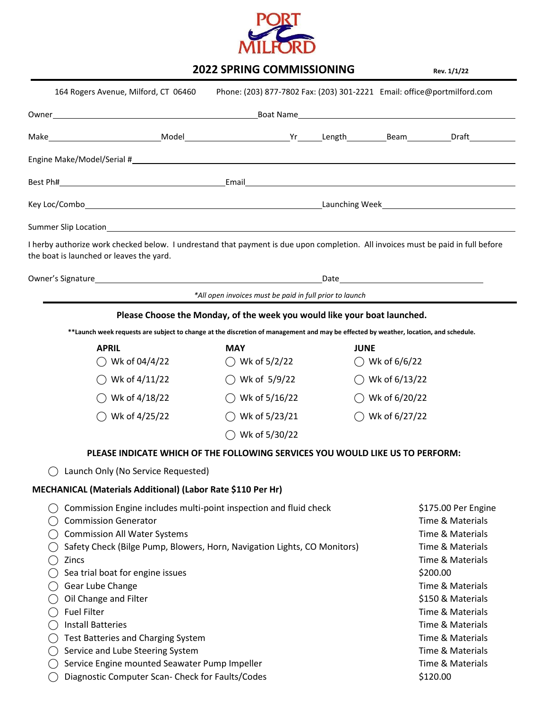

## **2022 SPRING COMMISSIONING Rev. 1/1/22**

| 164 Rogers Avenue, Milford, CT 06460                                                                                                                                                                                                                                                                                                                                                                  |                                                                          | Phone: (203) 877-7802 Fax: (203) 301-2221    Email: office@portmilford.com                                                                                                                                                                                                          |  |
|-------------------------------------------------------------------------------------------------------------------------------------------------------------------------------------------------------------------------------------------------------------------------------------------------------------------------------------------------------------------------------------------------------|--------------------------------------------------------------------------|-------------------------------------------------------------------------------------------------------------------------------------------------------------------------------------------------------------------------------------------------------------------------------------|--|
|                                                                                                                                                                                                                                                                                                                                                                                                       |                                                                          |                                                                                                                                                                                                                                                                                     |  |
|                                                                                                                                                                                                                                                                                                                                                                                                       |                                                                          |                                                                                                                                                                                                                                                                                     |  |
|                                                                                                                                                                                                                                                                                                                                                                                                       |                                                                          |                                                                                                                                                                                                                                                                                     |  |
|                                                                                                                                                                                                                                                                                                                                                                                                       |                                                                          |                                                                                                                                                                                                                                                                                     |  |
|                                                                                                                                                                                                                                                                                                                                                                                                       |                                                                          |                                                                                                                                                                                                                                                                                     |  |
|                                                                                                                                                                                                                                                                                                                                                                                                       |                                                                          |                                                                                                                                                                                                                                                                                     |  |
| I herby authorize work checked below. I undrestand that payment is due upon completion. All invoices must be paid in full before<br>the boat is launched or leaves the yard.                                                                                                                                                                                                                          |                                                                          |                                                                                                                                                                                                                                                                                     |  |
|                                                                                                                                                                                                                                                                                                                                                                                                       |                                                                          |                                                                                                                                                                                                                                                                                     |  |
|                                                                                                                                                                                                                                                                                                                                                                                                       | *All open invoices must be paid in full prior to launch                  |                                                                                                                                                                                                                                                                                     |  |
|                                                                                                                                                                                                                                                                                                                                                                                                       | Please Choose the Monday, of the week you would like your boat launched. |                                                                                                                                                                                                                                                                                     |  |
|                                                                                                                                                                                                                                                                                                                                                                                                       |                                                                          | **Launch week requests are subject to change at the discretion of management and may be effected by weather, location, and schedule.                                                                                                                                                |  |
| <b>APRIL</b><br>$\bigcirc$ Wk of 04/4/22                                                                                                                                                                                                                                                                                                                                                              | <b>MAY</b><br>$\bigcirc$ Wk of 5/2/22                                    | <b>JUNE</b><br>$\bigcirc$ Wk of 6/6/22                                                                                                                                                                                                                                              |  |
| $\bigcirc$ Wk of 4/11/22                                                                                                                                                                                                                                                                                                                                                                              | $\bigcirc$ Wk of 5/9/22                                                  | $\bigcirc$ Wk of 6/13/22                                                                                                                                                                                                                                                            |  |
| $\bigcirc$ Wk of 4/18/22                                                                                                                                                                                                                                                                                                                                                                              | $\bigcirc$ Wk of 5/16/22                                                 | $\bigcirc$ Wk of 6/20/22                                                                                                                                                                                                                                                            |  |
| ◯ Wk of 4/25/22                                                                                                                                                                                                                                                                                                                                                                                       | $\bigcirc$ Wk of 5/23/21                                                 | $\bigcirc$ Wk of 6/27/22                                                                                                                                                                                                                                                            |  |
|                                                                                                                                                                                                                                                                                                                                                                                                       | $\bigcirc$ Wk of 5/30/22                                                 |                                                                                                                                                                                                                                                                                     |  |
|                                                                                                                                                                                                                                                                                                                                                                                                       |                                                                          | PLEASE INDICATE WHICH OF THE FOLLOWING SERVICES YOU WOULD LIKE US TO PERFORM:                                                                                                                                                                                                       |  |
| Launch Only (No Service Requested)                                                                                                                                                                                                                                                                                                                                                                    |                                                                          |                                                                                                                                                                                                                                                                                     |  |
| MECHANICAL (Materials Additional) (Labor Rate \$110 Per Hr)                                                                                                                                                                                                                                                                                                                                           |                                                                          |                                                                                                                                                                                                                                                                                     |  |
| Commission Engine includes multi-point inspection and fluid check<br><b>Commission Generator</b><br><b>Commission All Water Systems</b><br>Safety Check (Bilge Pump, Blowers, Horn, Navigation Lights, CO Monitors)<br>Zincs<br>Sea trial boat for engine issues<br>Gear Lube Change<br>Oil Change and Filter<br><b>Fuel Filter</b><br><b>Install Batteries</b><br>Test Batteries and Charging System |                                                                          | <b>Time &amp; Materials</b><br>Time & Materials<br><b>Time &amp; Materials</b><br><b>Time &amp; Materials</b><br>\$200.00<br><b>Time &amp; Materials</b><br>\$150 & Materials<br>Time & Materials<br><b>Time &amp; Materials</b><br>Time & Materials<br><b>Time &amp; Materials</b> |  |
| Service and Lube Steering System<br>Service Engine mounted Seawater Pump Impeller                                                                                                                                                                                                                                                                                                                     |                                                                          | Time & Materials                                                                                                                                                                                                                                                                    |  |
| Diagnostic Computer Scan- Check for Faults/Codes                                                                                                                                                                                                                                                                                                                                                      |                                                                          | \$120.00                                                                                                                                                                                                                                                                            |  |